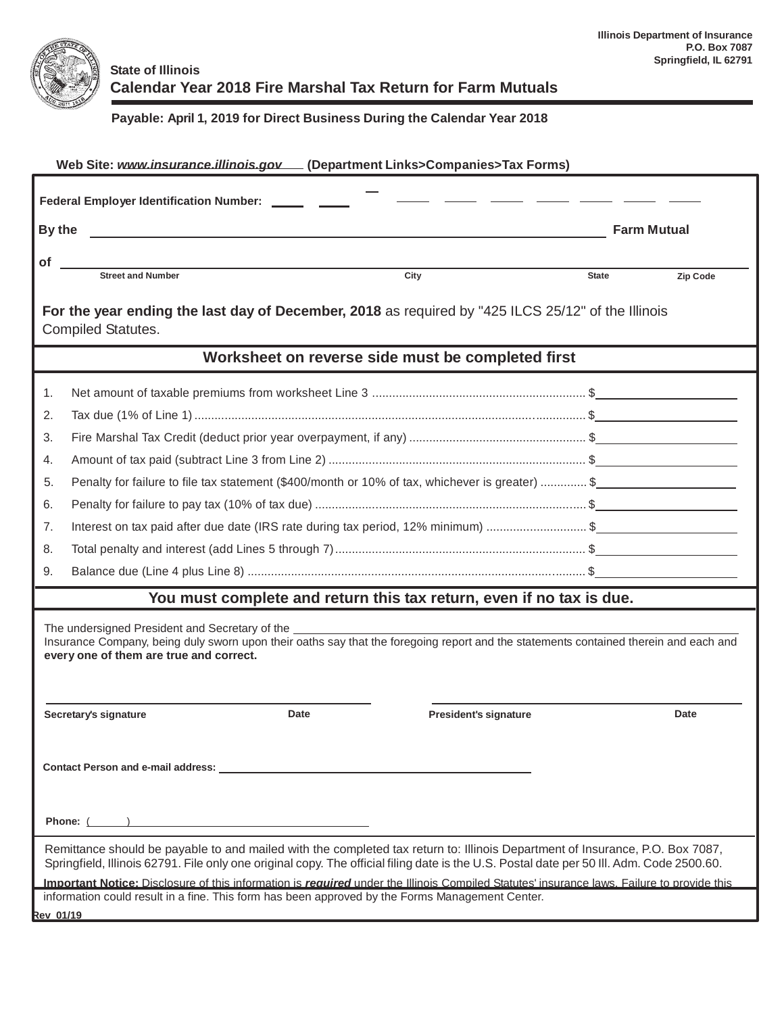

## **State of Illinois Calendar Year 2018 Fire Marshal Tax Return for Farm Mutuals**

## **Payable: April 1, 2019 for Direct Business During the Calendar Year 2018**

| Web Site: www.insurance.illinois.gov [Department Links>Companies>Tax Forms)                                                                                                                                                                                                |                                                                                                 |              |                    |  |  |  |  |  |
|----------------------------------------------------------------------------------------------------------------------------------------------------------------------------------------------------------------------------------------------------------------------------|-------------------------------------------------------------------------------------------------|--------------|--------------------|--|--|--|--|--|
|                                                                                                                                                                                                                                                                            | Federal Employer Identification Number: ______ _                                                |              |                    |  |  |  |  |  |
| By the                                                                                                                                                                                                                                                                     | <u> 1989 - Johann Stein, mars an de Frankrik (f. 1989)</u>                                      |              | <b>Farm Mutual</b> |  |  |  |  |  |
| of                                                                                                                                                                                                                                                                         |                                                                                                 |              |                    |  |  |  |  |  |
|                                                                                                                                                                                                                                                                            | <b>Street and Number</b><br>City                                                                | <b>State</b> | Zip Code           |  |  |  |  |  |
| For the year ending the last day of December, 2018 as required by "425 ILCS 25/12" of the Illinois<br>Compiled Statutes.                                                                                                                                                   |                                                                                                 |              |                    |  |  |  |  |  |
|                                                                                                                                                                                                                                                                            | Worksheet on reverse side must be completed first                                               |              |                    |  |  |  |  |  |
| 1.                                                                                                                                                                                                                                                                         |                                                                                                 |              |                    |  |  |  |  |  |
| 2.                                                                                                                                                                                                                                                                         |                                                                                                 |              |                    |  |  |  |  |  |
| 3.                                                                                                                                                                                                                                                                         |                                                                                                 |              |                    |  |  |  |  |  |
| 4.                                                                                                                                                                                                                                                                         |                                                                                                 |              |                    |  |  |  |  |  |
| 5.                                                                                                                                                                                                                                                                         | Penalty for failure to file tax statement (\$400/month or 10% of tax, whichever is greater)  \$ |              |                    |  |  |  |  |  |
| 6.                                                                                                                                                                                                                                                                         |                                                                                                 |              |                    |  |  |  |  |  |
| 7.                                                                                                                                                                                                                                                                         | Interest on tax paid after due date (IRS rate during tax period, 12% minimum) \$                |              |                    |  |  |  |  |  |
| 8.                                                                                                                                                                                                                                                                         |                                                                                                 |              |                    |  |  |  |  |  |
| 9.                                                                                                                                                                                                                                                                         |                                                                                                 |              |                    |  |  |  |  |  |
|                                                                                                                                                                                                                                                                            | You must complete and return this tax return, even if no tax is due.                            |              |                    |  |  |  |  |  |
| The undersigned President and Secretary of the<br>Insurance Company, being duly sworn upon their oaths say that the foregoing report and the statements contained therein and each and<br>every one of them are true and correct.                                          |                                                                                                 |              |                    |  |  |  |  |  |
|                                                                                                                                                                                                                                                                            | Date<br>Secretary's signature<br><b>President's signature</b>                                   |              | Date               |  |  |  |  |  |
|                                                                                                                                                                                                                                                                            |                                                                                                 |              |                    |  |  |  |  |  |
|                                                                                                                                                                                                                                                                            |                                                                                                 |              |                    |  |  |  |  |  |
| Remittance should be payable to and mailed with the completed tax return to: Illinois Department of Insurance, P.O. Box 7087,<br>Springfield, Illinois 62791. File only one original copy. The official filing date is the U.S. Postal date per 50 III. Adm. Code 2500.60. |                                                                                                 |              |                    |  |  |  |  |  |
| Important Notice: Disclosure of this information is required under the Illinois Compiled Statutes' insurance laws. Failure to provide this<br>information could result in a fine. This form has been approved by the Forms Management Center.                              |                                                                                                 |              |                    |  |  |  |  |  |
| <b>Rev 01/19</b>                                                                                                                                                                                                                                                           |                                                                                                 |              |                    |  |  |  |  |  |
|                                                                                                                                                                                                                                                                            |                                                                                                 |              |                    |  |  |  |  |  |